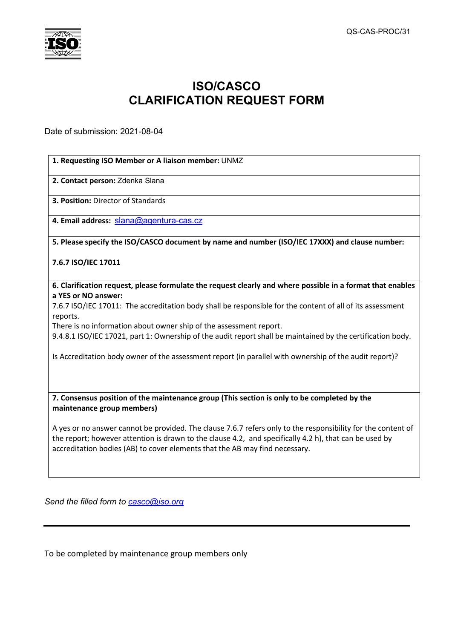

## **ISO/CASCO CLARIFICATION REQUEST FORM**

Date of submission: 2021-08-04

## **1. Requesting ISO Member or A liaison member:** UNMZ

**2. Contact person:** Zdenka Slana

**3. Position:** Director of Standards

**4. Email address:** [slana@agentura-cas.cz](mailto:slana@agentura-cas.cz)

## **5. Please specify the ISO/CASCO document by name and number (ISO/IEC 17XXX) and clause number:**

## **7.6.7 ISO/IEC 17011**

**6. Clarification request, please formulate the request clearly and where possible in a format that enables a YES or NO answer:**

7.6.7 ISO/IEC 17011: The accreditation body shall be responsible for the content of all of its assessment reports.

There is no information about owner ship of the assessment report.

9.4.8.1 ISO/IEC 17021, part 1: Ownership of the audit report shall be maintained by the certification body.

Is Accreditation body owner of the assessment report (in parallel with ownership of the audit report)?

**7. Consensus position of the maintenance group (This section is only to be completed by the maintenance group members)**

A yes or no answer cannot be provided. The clause 7.6.7 refers only to the responsibility for the content of the report; however attention is drawn to the clause 4.2, and specifically 4.2 h), that can be used by accreditation bodies (AB) to cover elements that the AB may find necessary.

*Send the filled form to [casco@iso.org](mailto:casco@iso.org)*

To be completed by maintenance group members only